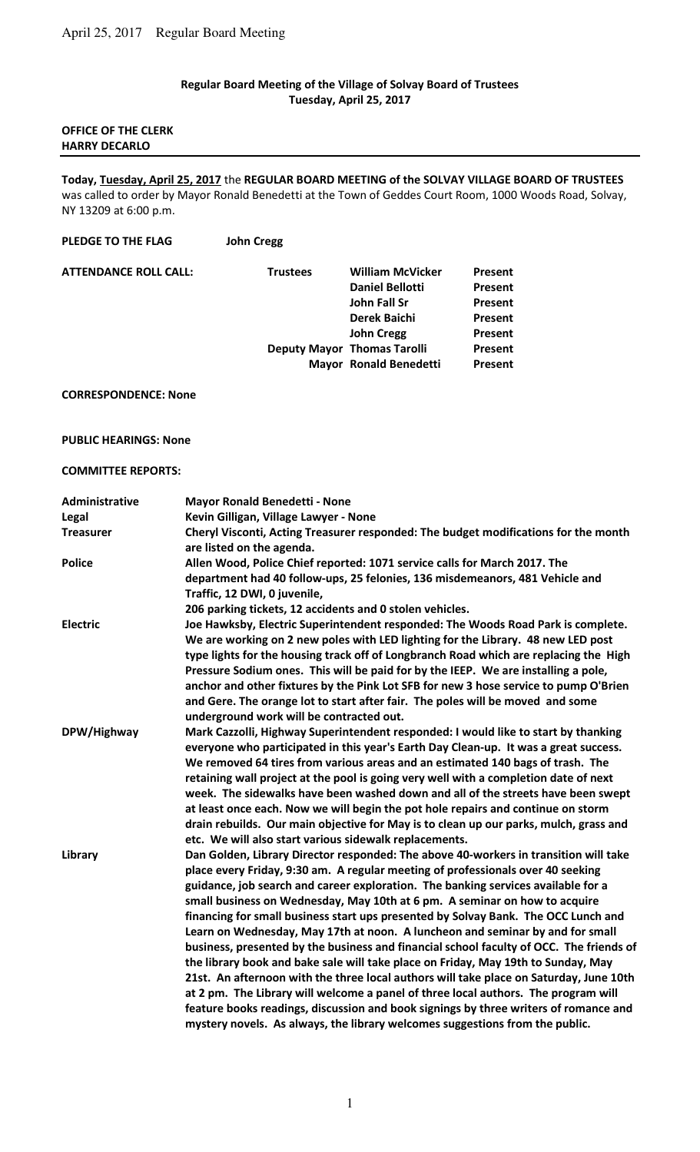### **Regular Board Meeting of the Village of Solvay Board of Trustees Tuesday, April 25, 2017**

### **OFFICE OF THE CLERK HARRY DECARLO**

### **Today, Tuesday, April 25, 2017** the **REGULAR BOARD MEETING of the SOLVAY VILLAGE BOARD OF TRUSTEES**  was called to order by Mayor Ronald Benedetti at the Town of Geddes Court Room, 1000 Woods Road, Solvay,

NY 13209 at 6:00 p.m.

## **PLEDGE TO THE FLAG John Cregg**

| <b>ATTENDANCE ROLL CALL:</b> | <b>Trustees</b> | <b>William McVicker</b>            | Present        |
|------------------------------|-----------------|------------------------------------|----------------|
|                              |                 | <b>Daniel Bellotti</b>             | <b>Present</b> |
|                              |                 | John Fall Sr                       | Present        |
|                              |                 | Derek Baichi                       | <b>Present</b> |
|                              |                 | <b>John Cregg</b>                  | Present        |
|                              |                 | <b>Deputy Mayor Thomas Tarolli</b> | Present        |
|                              |                 | <b>Mayor Ronald Benedetti</b>      | Present        |
|                              |                 |                                    |                |

### **CORRESPONDENCE: None**

# **PUBLIC HEARINGS: None**

### **COMMITTEE REPORTS:**

| Administrative<br>Legal | <b>Mayor Ronald Benedetti - None</b><br>Kevin Gilligan, Village Lawyer - None                                                                                                                                                                                                                                                                                                                                                                                                                                                                                                                                                                                                                                                                                                                                                                                                                                                                                                                                                                             |
|-------------------------|-----------------------------------------------------------------------------------------------------------------------------------------------------------------------------------------------------------------------------------------------------------------------------------------------------------------------------------------------------------------------------------------------------------------------------------------------------------------------------------------------------------------------------------------------------------------------------------------------------------------------------------------------------------------------------------------------------------------------------------------------------------------------------------------------------------------------------------------------------------------------------------------------------------------------------------------------------------------------------------------------------------------------------------------------------------|
| <b>Treasurer</b>        | Cheryl Visconti, Acting Treasurer responded: The budget modifications for the month<br>are listed on the agenda.                                                                                                                                                                                                                                                                                                                                                                                                                                                                                                                                                                                                                                                                                                                                                                                                                                                                                                                                          |
| <b>Police</b>           | Allen Wood, Police Chief reported: 1071 service calls for March 2017. The<br>department had 40 follow-ups, 25 felonies, 136 misdemeanors, 481 Vehicle and<br>Traffic, 12 DWI, 0 juvenile,<br>206 parking tickets, 12 accidents and 0 stolen vehicles.                                                                                                                                                                                                                                                                                                                                                                                                                                                                                                                                                                                                                                                                                                                                                                                                     |
| <b>Electric</b>         | Joe Hawksby, Electric Superintendent responded: The Woods Road Park is complete.<br>We are working on 2 new poles with LED lighting for the Library. 48 new LED post<br>type lights for the housing track off of Longbranch Road which are replacing the High<br>Pressure Sodium ones. This will be paid for by the IEEP. We are installing a pole,<br>anchor and other fixtures by the Pink Lot SFB for new 3 hose service to pump O'Brien<br>and Gere. The orange lot to start after fair. The poles will be moved and some<br>underground work will be contracted out.                                                                                                                                                                                                                                                                                                                                                                                                                                                                                 |
| DPW/Highway             | Mark Cazzolli, Highway Superintendent responded: I would like to start by thanking<br>everyone who participated in this year's Earth Day Clean-up. It was a great success.<br>We removed 64 tires from various areas and an estimated 140 bags of trash. The<br>retaining wall project at the pool is going very well with a completion date of next<br>week. The sidewalks have been washed down and all of the streets have been swept<br>at least once each. Now we will begin the pot hole repairs and continue on storm<br>drain rebuilds. Our main objective for May is to clean up our parks, mulch, grass and<br>etc. We will also start various sidewalk replacements.                                                                                                                                                                                                                                                                                                                                                                           |
| Library                 | Dan Golden, Library Director responded: The above 40-workers in transition will take<br>place every Friday, 9:30 am. A regular meeting of professionals over 40 seeking<br>guidance, job search and career exploration. The banking services available for a<br>small business on Wednesday, May 10th at 6 pm. A seminar on how to acquire<br>financing for small business start ups presented by Solvay Bank. The OCC Lunch and<br>Learn on Wednesday, May 17th at noon. A luncheon and seminar by and for small<br>business, presented by the business and financial school faculty of OCC. The friends of<br>the library book and bake sale will take place on Friday, May 19th to Sunday, May<br>21st. An afternoon with the three local authors will take place on Saturday, June 10th<br>at 2 pm. The Library will welcome a panel of three local authors. The program will<br>feature books readings, discussion and book signings by three writers of romance and<br>mystery novels. As always, the library welcomes suggestions from the public. |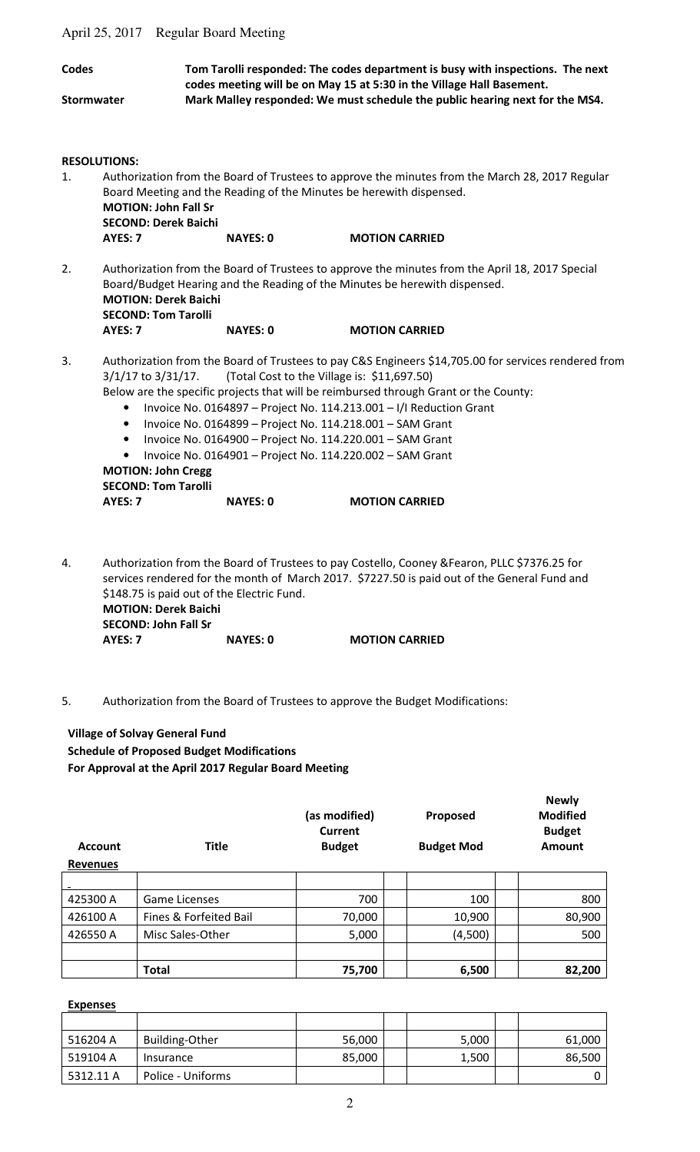April 25, 2017 Regular Board Meeting

| <b>Codes</b>      |                                                                                                                           | Tom Tarolli responded: The codes department is busy with inspections. The next<br>codes meeting will be on May 15 at 5:30 in the Village Hall Basement. |                                                                                                                                                                                                                                                                                                                                                                                                                                                                                                           |  |  |  |  |  |
|-------------------|---------------------------------------------------------------------------------------------------------------------------|---------------------------------------------------------------------------------------------------------------------------------------------------------|-----------------------------------------------------------------------------------------------------------------------------------------------------------------------------------------------------------------------------------------------------------------------------------------------------------------------------------------------------------------------------------------------------------------------------------------------------------------------------------------------------------|--|--|--|--|--|
| <b>Stormwater</b> |                                                                                                                           |                                                                                                                                                         | Mark Malley responded: We must schedule the public hearing next for the MS4.                                                                                                                                                                                                                                                                                                                                                                                                                              |  |  |  |  |  |
| 1.                | <b>RESOLUTIONS:</b>                                                                                                       |                                                                                                                                                         | Authorization from the Board of Trustees to approve the minutes from the March 28, 2017 Regular                                                                                                                                                                                                                                                                                                                                                                                                           |  |  |  |  |  |
|                   | <b>MOTION: John Fall Sr</b><br><b>SECOND: Derek Baichi</b>                                                                |                                                                                                                                                         | Board Meeting and the Reading of the Minutes be herewith dispensed.                                                                                                                                                                                                                                                                                                                                                                                                                                       |  |  |  |  |  |
|                   | AYES: 7                                                                                                                   | <b>NAYES: 0</b>                                                                                                                                         | <b>MOTION CARRIED</b>                                                                                                                                                                                                                                                                                                                                                                                                                                                                                     |  |  |  |  |  |
| 2.                | <b>MOTION: Derek Baichi</b><br><b>SECOND: Tom Tarolli</b>                                                                 |                                                                                                                                                         | Authorization from the Board of Trustees to approve the minutes from the April 18, 2017 Special<br>Board/Budget Hearing and the Reading of the Minutes be herewith dispensed.                                                                                                                                                                                                                                                                                                                             |  |  |  |  |  |
|                   | AYES: 7                                                                                                                   | <b>NAYES: 0</b>                                                                                                                                         | <b>MOTION CARRIED</b>                                                                                                                                                                                                                                                                                                                                                                                                                                                                                     |  |  |  |  |  |
| 3.                | $3/1/17$ to $3/31/17$ .<br>$\bullet$<br>$\bullet$<br>$\bullet$<br><b>MOTION: John Cregg</b><br><b>SECOND: Tom Tarolli</b> |                                                                                                                                                         | Authorization from the Board of Trustees to pay C&S Engineers \$14,705.00 for services rendered from<br>(Total Cost to the Village is: \$11,697.50)<br>Below are the specific projects that will be reimbursed through Grant or the County:<br>Invoice No. 0164897 - Project No. 114.213.001 - I/I Reduction Grant<br>Invoice No. 0164899 - Project No. 114.218.001 - SAM Grant<br>Invoice No. 0164900 - Project No. 114.220.001 - SAM Grant<br>Invoice No. 0164901 - Project No. 114.220.002 - SAM Grant |  |  |  |  |  |
|                   | AYES: 7                                                                                                                   | <b>NAYES: 0</b>                                                                                                                                         | <b>MOTION CARRIED</b>                                                                                                                                                                                                                                                                                                                                                                                                                                                                                     |  |  |  |  |  |
| 4.                |                                                                                                                           | \$148.75 is paid out of the Electric Fund.                                                                                                              | Authorization from the Board of Trustees to pay Costello, Cooney & Fearon, PLLC \$7376.25 for<br>services rendered for the month of March 2017. \$7227.50 is paid out of the General Fund and                                                                                                                                                                                                                                                                                                             |  |  |  |  |  |

 **MOTION: Derek Baichi SECOND: John Fall Sr AYES: 7 NAYES: 0 MOTION CARRIED** 

5. Authorization from the Board of Trustees to approve the Budget Modifications:

**Village of Solvay General Fund Schedule of Proposed Budget Modifications For Approval at the April 2017 Regular Board Meeting**

| <b>Account</b><br><b>Revenues</b> | <b>Title</b>           | (as modified)<br>Current<br><b>Budget</b> | Proposed<br><b>Budget Mod</b> | <b>Newly</b><br><b>Modified</b><br><b>Budget</b><br>Amount |
|-----------------------------------|------------------------|-------------------------------------------|-------------------------------|------------------------------------------------------------|
|                                   |                        |                                           |                               |                                                            |
| 425300 A                          | <b>Game Licenses</b>   | 700                                       | 100                           | 800                                                        |
| 426100 A                          | Fines & Forfeited Bail | 70,000                                    | 10,900                        | 80,900                                                     |
| 426550 A                          | Misc Sales-Other       | 5,000                                     | (4,500)                       | 500                                                        |
|                                   |                        |                                           |                               |                                                            |
|                                   | <b>Total</b>           | 75,700                                    | 6,500                         | 82,200                                                     |

#### **Expenses**

| 516204 A  | <b>Building-Other</b> | 56,000 | 5,000 | 61,000 |
|-----------|-----------------------|--------|-------|--------|
| 519104 A  | Insurance             | 85,000 | 1,500 | 86,500 |
| 5312.11 A | Police - Uniforms     |        |       |        |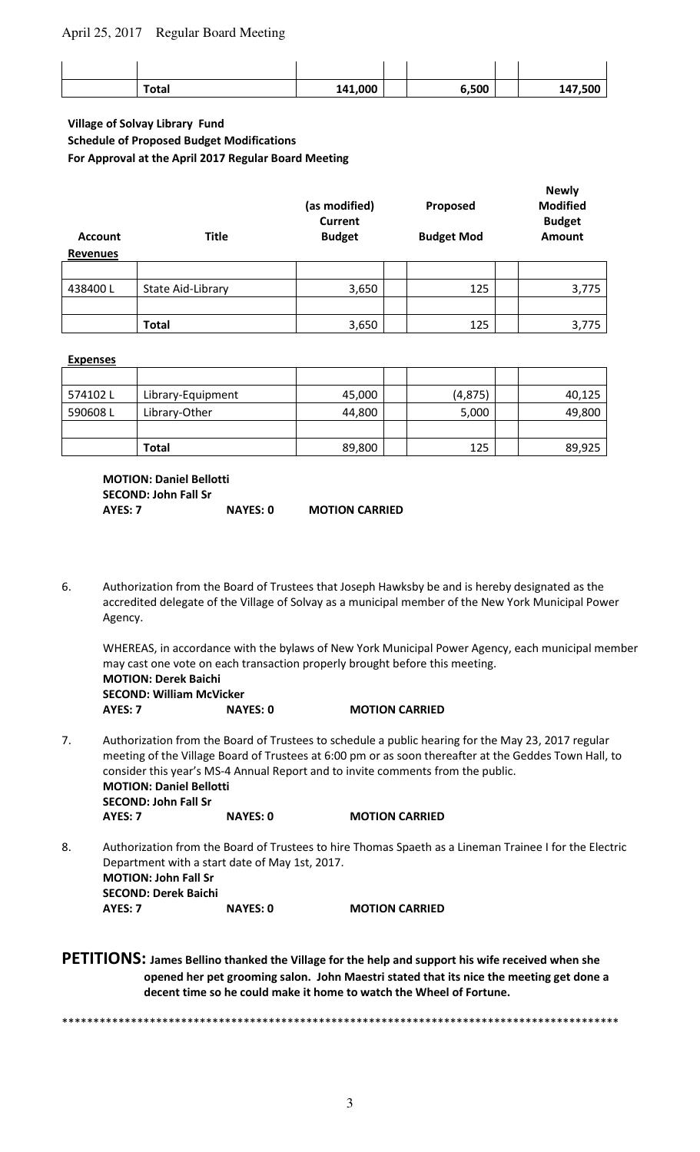## April 25, 2017 Regular Board Meeting

| <b>Total</b> | 141,000 | 6,500 | 147,500 |
|--------------|---------|-------|---------|

### **Village of Solvay Library Fund Schedule of Proposed Budget Modifications For Approval at the April 2017 Regular Board Meeting**

| <b>Account</b><br><b>Revenues</b> | <b>Title</b>      | (as modified)<br><b>Current</b><br><b>Budget</b> | Proposed<br><b>Budget Mod</b> | <b>Newly</b><br><b>Modified</b><br><b>Budget</b><br><b>Amount</b> |
|-----------------------------------|-------------------|--------------------------------------------------|-------------------------------|-------------------------------------------------------------------|
|                                   |                   |                                                  |                               |                                                                   |
| 438400L                           | State Aid-Library | 3,650                                            | 125                           | 3,775                                                             |
|                                   |                   |                                                  |                               |                                                                   |
|                                   | <b>Total</b>      | 3,650                                            | 125                           | 3,775                                                             |

#### **Expenses**

| 574102L | Library-Equipment | 45,000 | (4, 875) | 40,125 |
|---------|-------------------|--------|----------|--------|
| 590608L | Library-Other     | 44,800 | 5,000    | 49,800 |
|         |                   |        |          |        |
|         | <b>Total</b>      | 89,800 | 125      | 89,925 |

**MOTION: Daniel Bellotti SECOND: John Fall Sr AYES: 7 NAYES: 0 MOTION CARRIED** 

6. Authorization from the Board of Trustees that Joseph Hawksby be and is hereby designated as the accredited delegate of the Village of Solvay as a municipal member of the New York Municipal Power Agency.

 WHEREAS, in accordance with the bylaws of New York Municipal Power Agency, each municipal member may cast one vote on each transaction properly brought before this meeting.  **MOTION: Derek Baichi** 

 **SECOND: William McVicker AYES: 7 NAYES: 0 MOTION CARRIED** 

- 7. Authorization from the Board of Trustees to schedule a public hearing for the May 23, 2017 regular meeting of the Village Board of Trustees at 6:00 pm or as soon thereafter at the Geddes Town Hall, to consider this year's MS-4 Annual Report and to invite comments from the public. **MOTION: Daniel Bellotti SECOND: John Fall Sr AYES: 7 NAYES: 0 MOTION CARRIED**
- 8. Authorization from the Board of Trustees to hire Thomas Spaeth as a Lineman Trainee I for the Electric Department with a start date of May 1st, 2017. **MOTION: John Fall Sr SECOND: Derek Baichi AYES: 7 NAYES: 0 MOTION CARRIED**

# **PETITIONS: James Bellino thanked the Village for the help and support his wife received when she opened her pet grooming salon. John Maestri stated that its nice the meeting get done a decent time so he could make it home to watch the Wheel of Fortune.**

\*\*\*\*\*\*\*\*\*\*\*\*\*\*\*\*\*\*\*\*\*\*\*\*\*\*\*\*\*\*\*\*\*\*\*\*\*\*\*\*\*\*\*\*\*\*\*\*\*\*\*\*\*\*\*\*\*\*\*\*\*\*\*\*\*\*\*\*\*\*\*\*\*\*\*\*\*\*\*\*\*\*\*\*\*\*\*\*\*